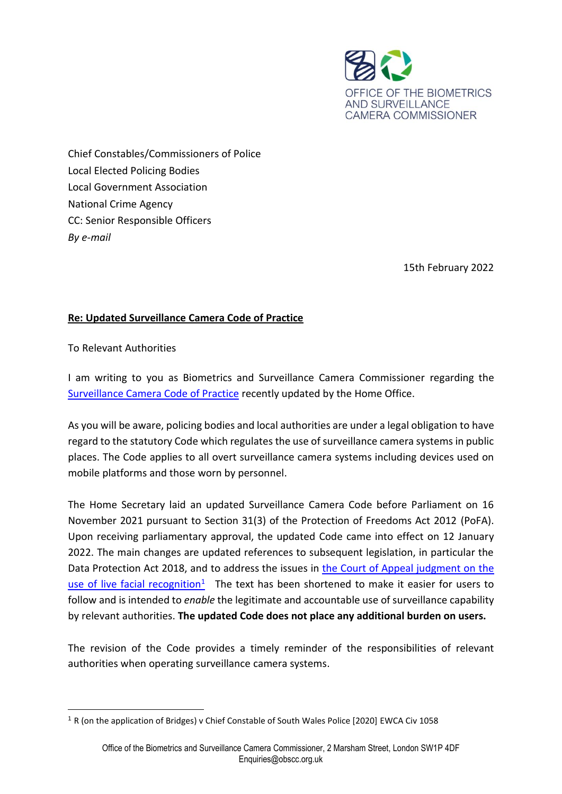

Chief Constables/Commissioners of Police Local Elected Policing Bodies Local Government Association National Crime Agency CC: Senior Responsible Officers *By e-mail* 

15th February 2022

## **Re: Updated Surveillance Camera Code of Practice**

To Relevant Authorities

I am writing to you as Biometrics and Surveillance Camera Commissioner regarding the [Surveillance Camera Code of Practice](https://www.gov.uk/government/publications/update-to-surveillance-camera-code) recently updated by the Home Office.

As you will be aware, policing bodies and local authorities are under a legal obligation to have regard to the statutory Code which regulates the use of surveillance camera systems in public places. The Code applies to all overt surveillance camera systems including devices used on mobile platforms and those worn by personnel.

The Home Secretary laid an updated Surveillance Camera Code before Parliament on 16 November 2021 pursuant to Section 31(3) of the Protection of Freedoms Act 2012 (PoFA). Upon receiving parliamentary approval, the updated Code came into effect on 12 January 2022. The main changes are updated references to subsequent legislation, in particular the Data Protection Act 2018, and to address the issues in [the Court of Appeal judgment on the](https://www.judiciary.uk/wp-content/uploads/2019/09/bridges-swp-judgment-Final03-09-19-1.pdf)  [use of live facial recognition](https://www.judiciary.uk/wp-content/uploads/2019/09/bridges-swp-judgment-Final03-09-19-1.pdf)<sup>1</sup> The text has been shortened to make it easier for users to follow and is intended to *enable* the legitimate and accountable use of surveillance capability by relevant authorities. **The updated Code does not place any additional burden on users.**

The revision of the Code provides a timely reminder of the responsibilities of relevant authorities when operating surveillance camera systems.

<sup>1</sup> R (on the application of Bridges) v Chief Constable of South Wales Police [2020] EWCA Civ 1058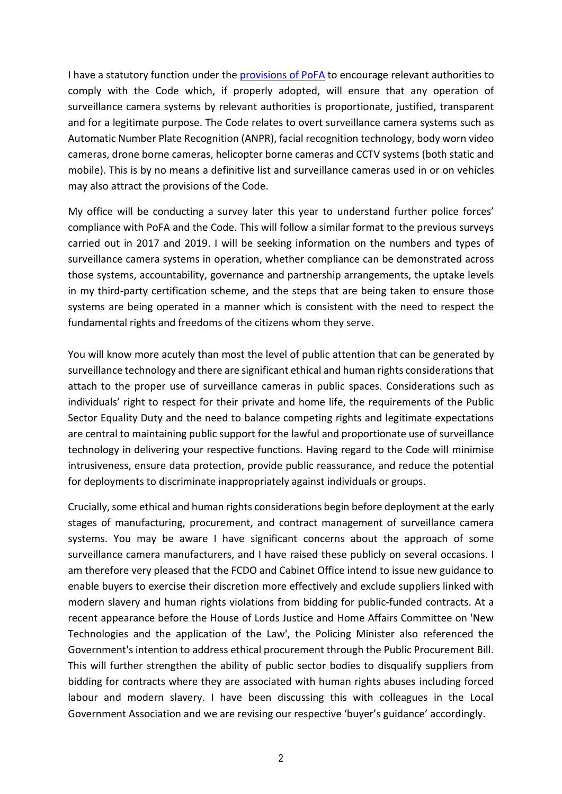I have a statutory function under the [provisions](https://www.legislation.gov.uk/ukpga/2012/9/schedule/4/enacted) of PoFA to encourage relevant authorities to comply with the Code which, if properly adopted, will ensure that any operation of surveillance camera systems by relevant authorities is proportionate, justified, transparent and for a legitimate purpose. The Code relates to overt surveillance camera systems such as Automatic Number Plate Recognition (ANPR), facial recognition technology, body worn video cameras, drone borne cameras, helicopter borne cameras and CCTV systems (both static and mobile). This is by no means a definitive list and surveillance cameras used in or on vehicles may also attract the provisions of the Code.

My office will be conducting a survey later this year to understand further police forces' compliance with PoFA and the Code. This will follow a similar format to the previous surveys carried out in 2017 and 2019. I will be seeking information on the numbers and types of surveillance camera systems in operation, whether compliance can be demonstrated across those systems, accountability, governance and partnership arrangements, the uptake levels in my third-party certification scheme, and the steps that are being taken to ensure those systems are being operated in a manner which is consistent with the need to respect the fundamental rights and freedoms of the citizens whom they serve.

You will know more acutely than most the level of public attention that can be generated by surveillance technology and there are significant ethical and human rights considerations that attach to the proper use of surveillance cameras in public spaces. Considerations such as individuals' right to respect for their private and home life, the requirements of the Public Sector Equality Duty and the need to balance competing rights and legitimate expectations are central to maintaining public support for the lawful and proportionate use of surveillance technology in delivering your respective functions. Having regard to the Code will minimise intrusiveness, ensure data protection, provide public reassurance, and reduce the potential for deployments to discriminate inappropriately against individuals or groups.

Crucially, some ethical and human rights considerations begin before deployment at the early stages of manufacturing, procurement, and contract management of surveillance camera systems. You may be aware I have significant concerns about the approach of some surveillance camera manufacturers, and I have raised these publicly on several occasions. I am therefore very pleased that the FCDO and Cabinet Office intend to issue new guidance to enable buyers to exercise their discretion more effectively and exclude suppliers linked with modern slavery and human rights violations from bidding for public-funded contracts. At a recent appearance before the House of Lords Justice and Home Affairs Committee on 'New Technologies and the application of the Law', the Policing Minister also referenced the Government's intention to address ethical procurement through the Public Procurement Bill. This will further strengthen the ability of public sector bodies to disqualify suppliers from bidding for contracts where they are associated with human rights abuses including forced labour and modern slavery. I have been discussing this with colleagues in the Local Government Association and we are revising our respective 'buyer's guidance' accordingly.